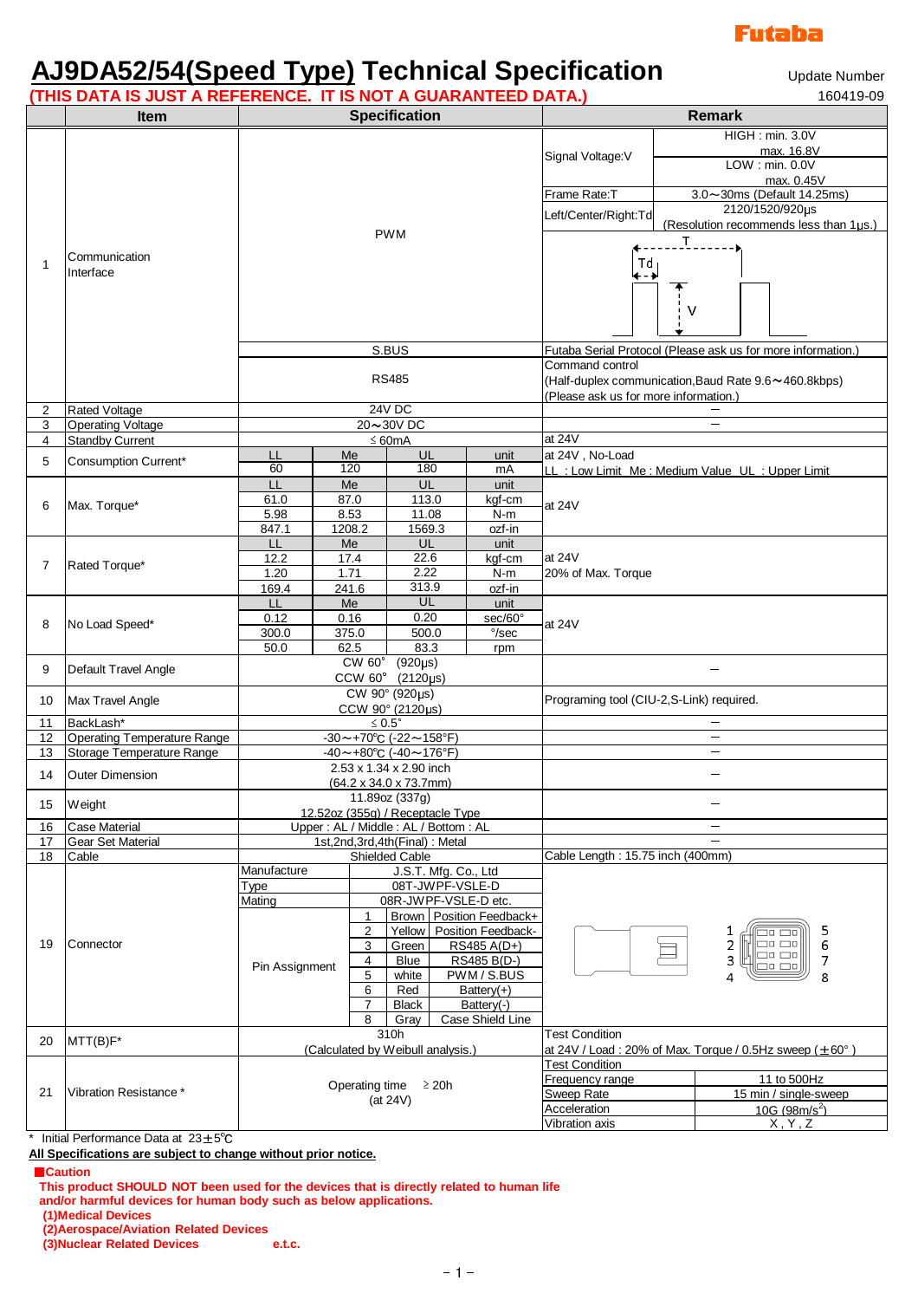

# **AJ9DA52/54(Speed Type) Technical Specification**

Update Number

| (THIS DATA IS JUST A REFERENCE. IT IS NOT A GUARANTEED DATA.)<br>160419-09 |                                                                 |                                                                      |                             |                                                          |                             |                                                                |                                                                                                                                                                                 |          |                                                                                         |  |
|----------------------------------------------------------------------------|-----------------------------------------------------------------|----------------------------------------------------------------------|-----------------------------|----------------------------------------------------------|-----------------------------|----------------------------------------------------------------|---------------------------------------------------------------------------------------------------------------------------------------------------------------------------------|----------|-----------------------------------------------------------------------------------------|--|
|                                                                            | <b>Item</b>                                                     | <b>Specification</b>                                                 |                             |                                                          |                             |                                                                | <b>Remark</b>                                                                                                                                                                   |          |                                                                                         |  |
|                                                                            |                                                                 | <b>PWM</b>                                                           |                             |                                                          |                             |                                                                | Signal Voltage: V                                                                                                                                                               |          | HIGH : min. 3.0V<br>max. 16.8V<br>LOW: min. 0.0V<br>max. 0.45V                          |  |
|                                                                            | Communication<br>Interface                                      |                                                                      |                             |                                                          |                             |                                                                | Frame Rate:T<br>Left/Center/Right:Td                                                                                                                                            |          | 3.0~30ms (Default 14.25ms)<br>2120/1520/920µs<br>(Resolution recommends less than 1µs.) |  |
| 1                                                                          |                                                                 |                                                                      |                             |                                                          |                             |                                                                | $\mathbb T$<br>Td<br>←−→<br>v                                                                                                                                                   |          |                                                                                         |  |
|                                                                            |                                                                 | S.BUS<br><b>RS485</b>                                                |                             |                                                          |                             |                                                                | Futaba Serial Protocol (Please ask us for more information.<br>Command control<br>(Half-duplex communication, Baud Rate 9.6~460.8kbps)<br>(Please ask us for more information.) |          |                                                                                         |  |
| 2                                                                          | <b>Rated Voltage</b>                                            | <b>24V DC</b>                                                        |                             |                                                          |                             |                                                                |                                                                                                                                                                                 |          |                                                                                         |  |
| 3                                                                          | <b>Operating Voltage</b>                                        | 20~30V DC                                                            |                             |                                                          |                             |                                                                |                                                                                                                                                                                 |          |                                                                                         |  |
| 4                                                                          | <b>Standby Current</b>                                          | $\leq 60mA$                                                          |                             |                                                          |                             |                                                                | at $24V$                                                                                                                                                                        |          |                                                                                         |  |
|                                                                            |                                                                 | LL                                                                   | Me                          |                                                          | UL                          | unit                                                           | at 24V, No-Load                                                                                                                                                                 |          |                                                                                         |  |
| 5                                                                          | Consumption Current*                                            | 60                                                                   | 120                         |                                                          | 180                         | mA                                                             | LL : Low Limit Me : Medium Value UL : Upper Limit                                                                                                                               |          |                                                                                         |  |
| 6<br>7                                                                     | Max. Torque*<br>Rated Torque*                                   | П<br>61.0                                                            | Me<br>87.0                  |                                                          | UL<br>113.0                 | unit<br>kgf-cm                                                 | at $24V$                                                                                                                                                                        |          |                                                                                         |  |
|                                                                            |                                                                 | 5.98<br>847.1<br>LL                                                  | 8.53<br>1208.2<br>Me        |                                                          | 11.08<br>1569.3<br>UL       | $N-m$<br>ozf-in<br>unit                                        |                                                                                                                                                                                 |          |                                                                                         |  |
|                                                                            |                                                                 | 12.2<br>1.20<br>169.4                                                | 17.4<br>1.71<br>241.6       |                                                          | 22.6<br>2.22<br>313.9       | kgf-cm<br>N-m<br>ozf-in                                        | at $24V$<br>20% of Max. Torque                                                                                                                                                  |          |                                                                                         |  |
| 8                                                                          | No Load Speed*                                                  | LL<br>0.12<br>300.0<br>50.0                                          | Me<br>0.16<br>375.0<br>62.5 |                                                          | UL<br>0.20<br>500.0<br>83.3 | unit<br>sec/60°<br>$\degree$ /sec                              | at $24V$                                                                                                                                                                        |          |                                                                                         |  |
| 9                                                                          | Default Travel Angle                                            | rpm<br><b>CW 60°</b><br>$(920\mu s)$<br>CCW 60°<br>$(2120 \mu s)$    |                             |                                                          |                             |                                                                |                                                                                                                                                                                 |          |                                                                                         |  |
| 10                                                                         | Max Travel Angle                                                | CW 90° (920µs)<br>CCW 90° (2120µs)                                   |                             |                                                          |                             |                                                                | Programing tool (CIU-2,S-Link) required.                                                                                                                                        |          |                                                                                         |  |
| 11                                                                         | BackLash*                                                       | $\leq 0.5^\circ$                                                     |                             |                                                          |                             |                                                                |                                                                                                                                                                                 |          |                                                                                         |  |
| 12<br>13                                                                   | <b>Operating Temperature Range</b><br>Storage Temperature Range | -30~+70°C (-22~158°F)<br>$-40 \sim +80^{\circ}$ C (-40 ~ 176°F)      |                             |                                                          |                             |                                                                | $\overline{\phantom{0}}$                                                                                                                                                        |          |                                                                                         |  |
| 14                                                                         | <b>Outer Dimension</b>                                          | 2.53 x 1.34 x 2.90 inch<br>$(64.2 \times 34.0 \times 73.7$ mm)       |                             |                                                          |                             |                                                                |                                                                                                                                                                                 |          |                                                                                         |  |
| 15                                                                         | Weight                                                          | 11.89oz (337g)<br>12.52oz (355g) / Receptacle Type                   |                             |                                                          |                             |                                                                |                                                                                                                                                                                 |          |                                                                                         |  |
| 16<br>17                                                                   | <b>Case Material</b><br><b>Gear Set Material</b>                | Upper: AL / Middle: AL / Bottom: AL<br>1st,2nd,3rd,4th(Final): Metal |                             |                                                          |                             |                                                                |                                                                                                                                                                                 | $\equiv$ |                                                                                         |  |
| 18                                                                         | Cable                                                           | Shielded Cable                                                       |                             |                                                          |                             |                                                                | Cable Length: 15.75 inch (400mm)                                                                                                                                                |          |                                                                                         |  |
|                                                                            |                                                                 | Manufacture<br>J.S.T. Mfg. Co., Ltd                                  |                             |                                                          |                             |                                                                |                                                                                                                                                                                 |          |                                                                                         |  |
| 19                                                                         | Connector                                                       | Type                                                                 | 08T-JWPF-VSLE-D             |                                                          |                             |                                                                |                                                                                                                                                                                 |          |                                                                                         |  |
|                                                                            |                                                                 | Mating                                                               |                             | 08R-JWPF-VSLE-D etc.                                     |                             |                                                                |                                                                                                                                                                                 |          |                                                                                         |  |
|                                                                            |                                                                 |                                                                      |                             | $\mathbf{1}$                                             | Brown   Position Feedback+  |                                                                |                                                                                                                                                                                 |          |                                                                                         |  |
|                                                                            |                                                                 |                                                                      |                             | $\overline{2}$<br>3<br>Green<br>4<br><b>Blue</b>         |                             | Yellow   Position Feedback-<br>RS485 A(D+)<br>RS485 B(D-)      | 5<br>1<br>6<br>2<br>ao ao<br>30 CB<br>3<br>$\overline{7}$                                                                                                                       |          |                                                                                         |  |
|                                                                            |                                                                 | Pin Assignment                                                       |                             | 5<br>white<br>6<br>Red<br>7<br><b>Black</b><br>8<br>Gray |                             | PWM / S.BUS<br>Battery $(+)$<br>Battery(-)<br>Case Shield Line | 30 CD<br>8<br>4                                                                                                                                                                 |          |                                                                                         |  |
|                                                                            |                                                                 |                                                                      |                             | 310h                                                     |                             |                                                                | <b>Test Condition</b>                                                                                                                                                           |          |                                                                                         |  |
| 20                                                                         | MTT(B)F*                                                        | (Calculated by Weibull analysis.)                                    |                             |                                                          |                             |                                                                | at 24V / Load: 20% of Max. Torque / 0.5Hz sweep ( $\pm$ 60°)                                                                                                                    |          |                                                                                         |  |
| 21                                                                         |                                                                 | Operating time<br>$\geq 20h$<br>(at 24V)                             |                             |                                                          |                             |                                                                | <b>Test Condition</b>                                                                                                                                                           |          |                                                                                         |  |
|                                                                            | Vibration Resistance *                                          |                                                                      |                             |                                                          |                             |                                                                | Frequency range                                                                                                                                                                 |          | 11 to 500Hz                                                                             |  |
|                                                                            |                                                                 |                                                                      |                             |                                                          |                             |                                                                | Sweep Rate                                                                                                                                                                      |          | 15 min / single-sweep                                                                   |  |
|                                                                            |                                                                 |                                                                      |                             |                                                          |                             |                                                                | Acceleration                                                                                                                                                                    |          | 10G (98m/s <sup>2</sup> )                                                               |  |
|                                                                            |                                                                 |                                                                      |                             |                                                          |                             |                                                                | Vibration axis                                                                                                                                                                  |          | X, Y, Z                                                                                 |  |

\* Initial Performance Data at 23±5℃

**All Specifications are subject to change without prior notice.**

■**Caution**

**This product SHOULD NOT been used for the devices that is directly related to human life and/or harmful devices for human body such as below applications.**

**(1)Medical Devices**

**(2)Aerospace/Aviation Related Devices (3) Nuclear Related Devices**